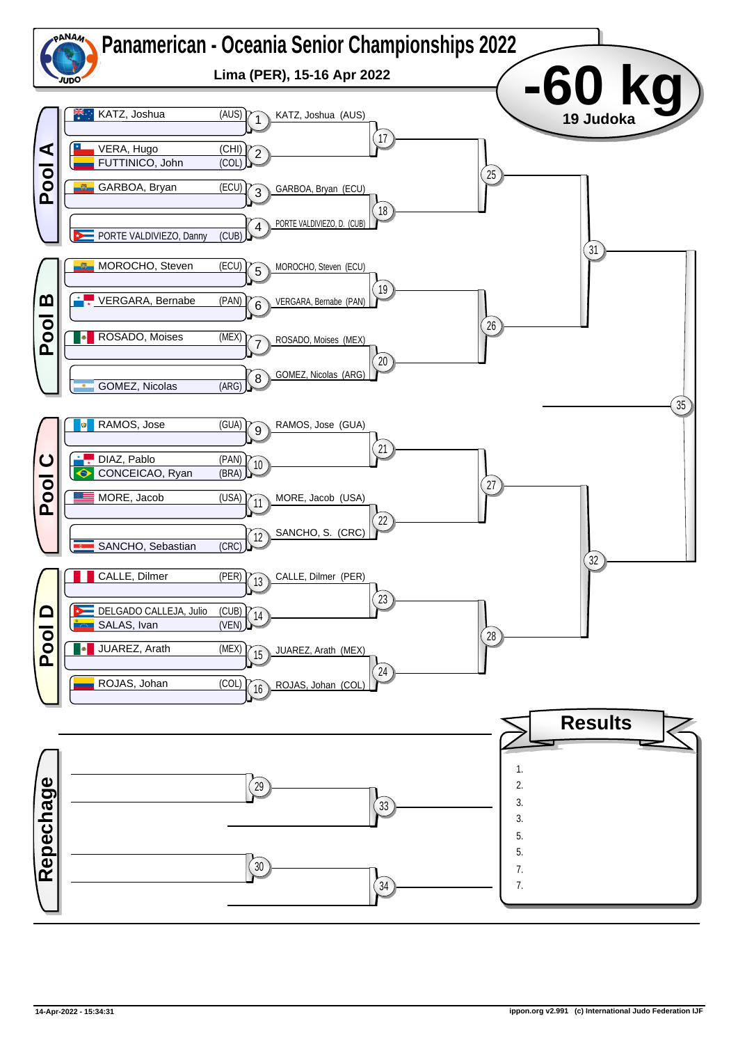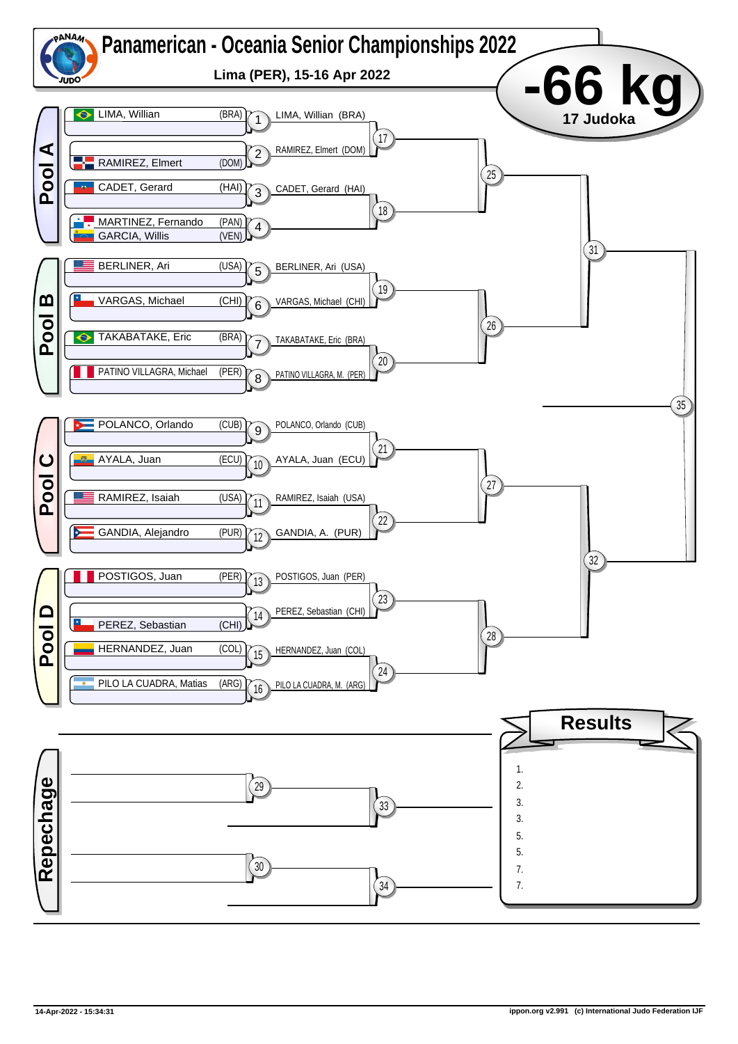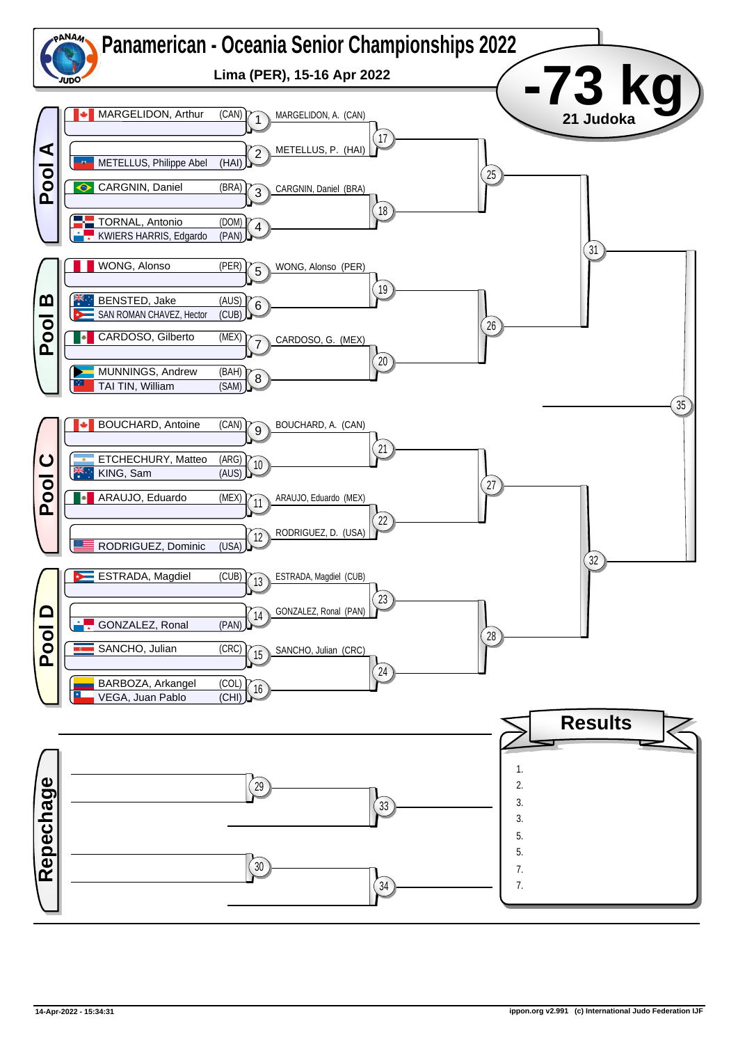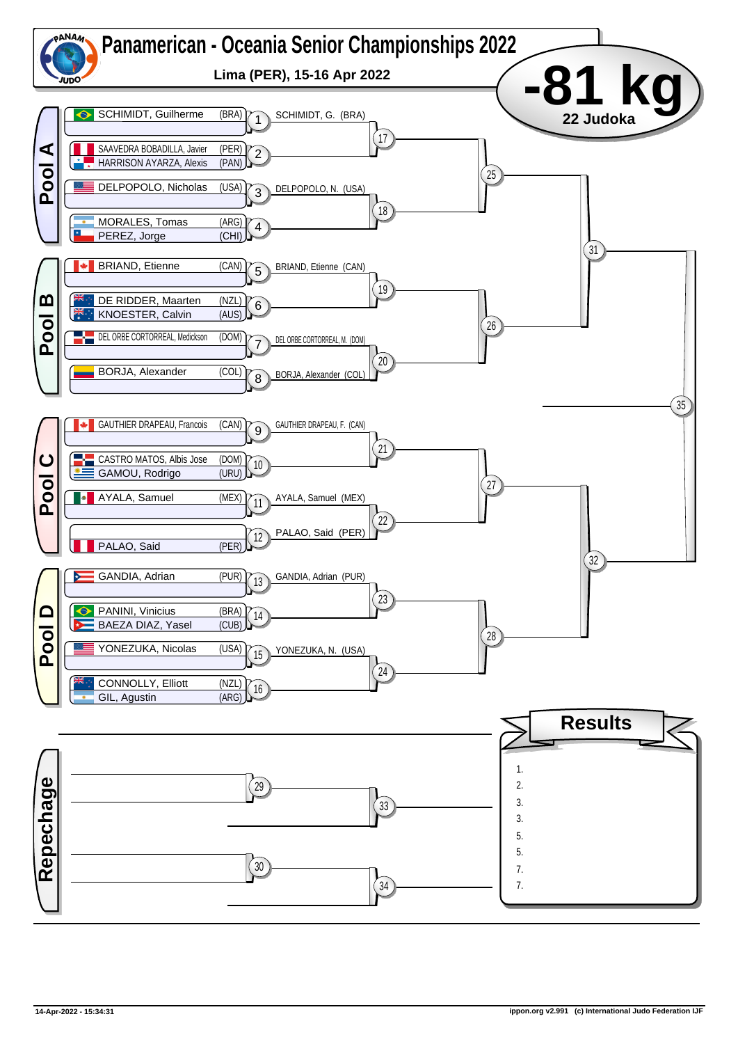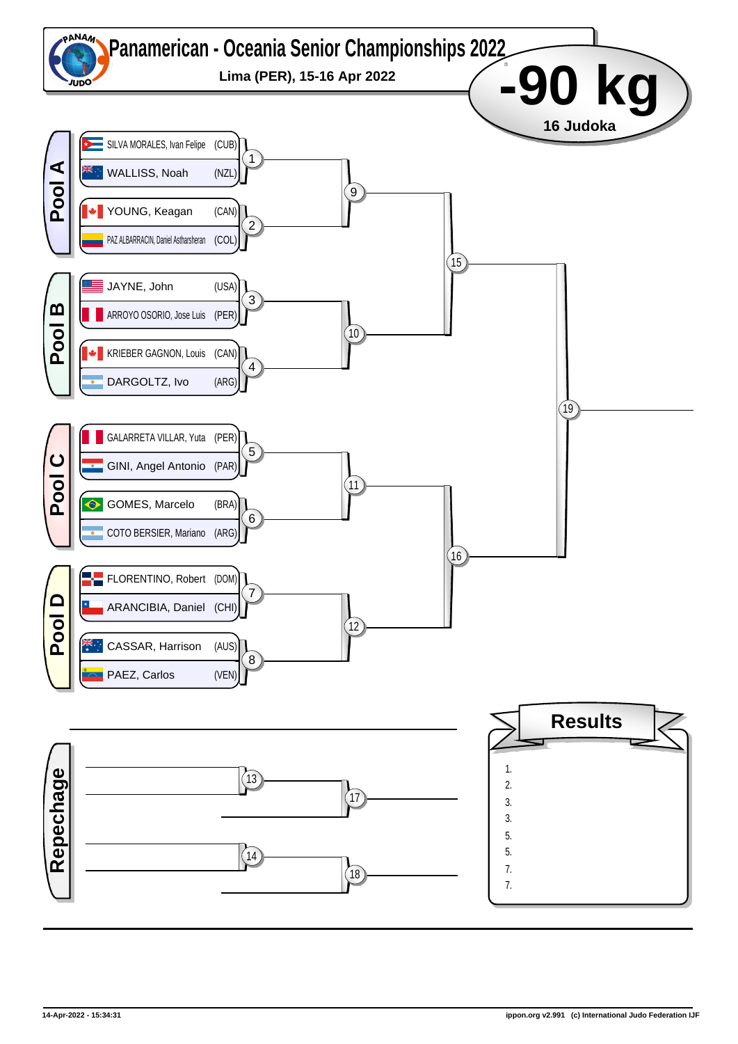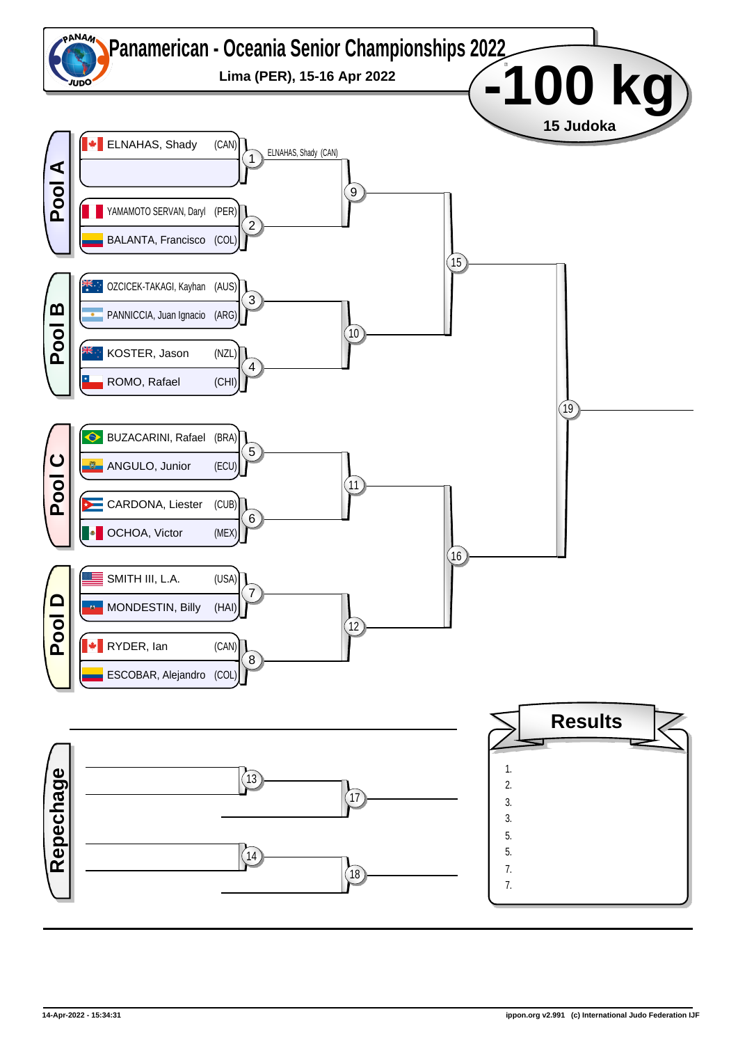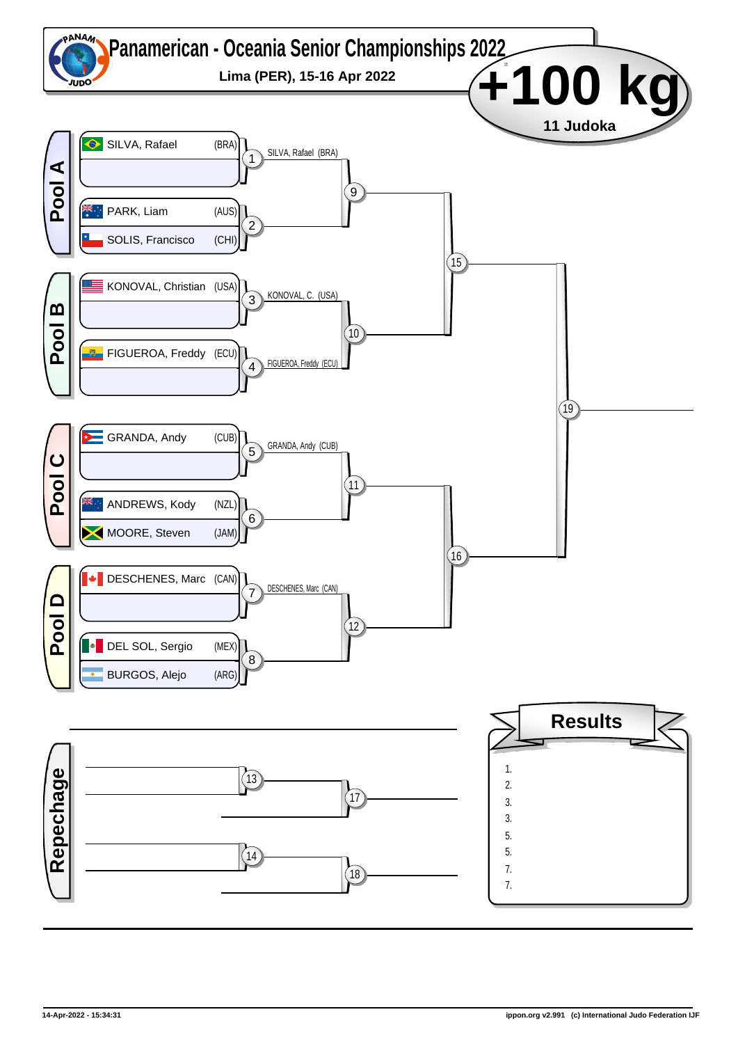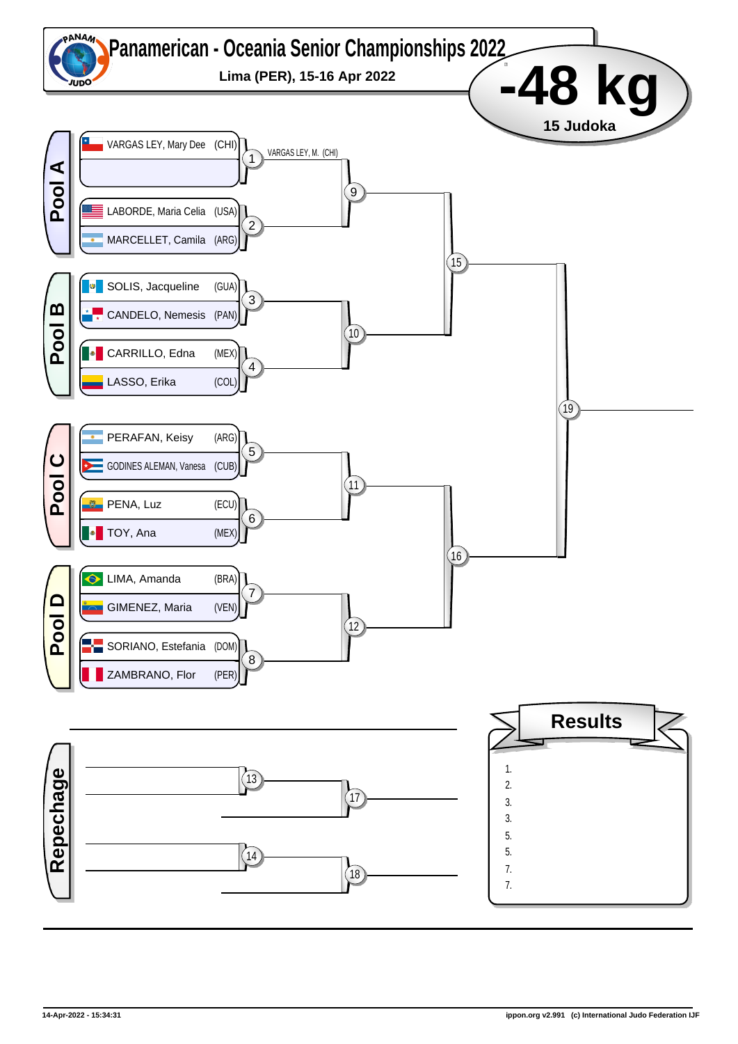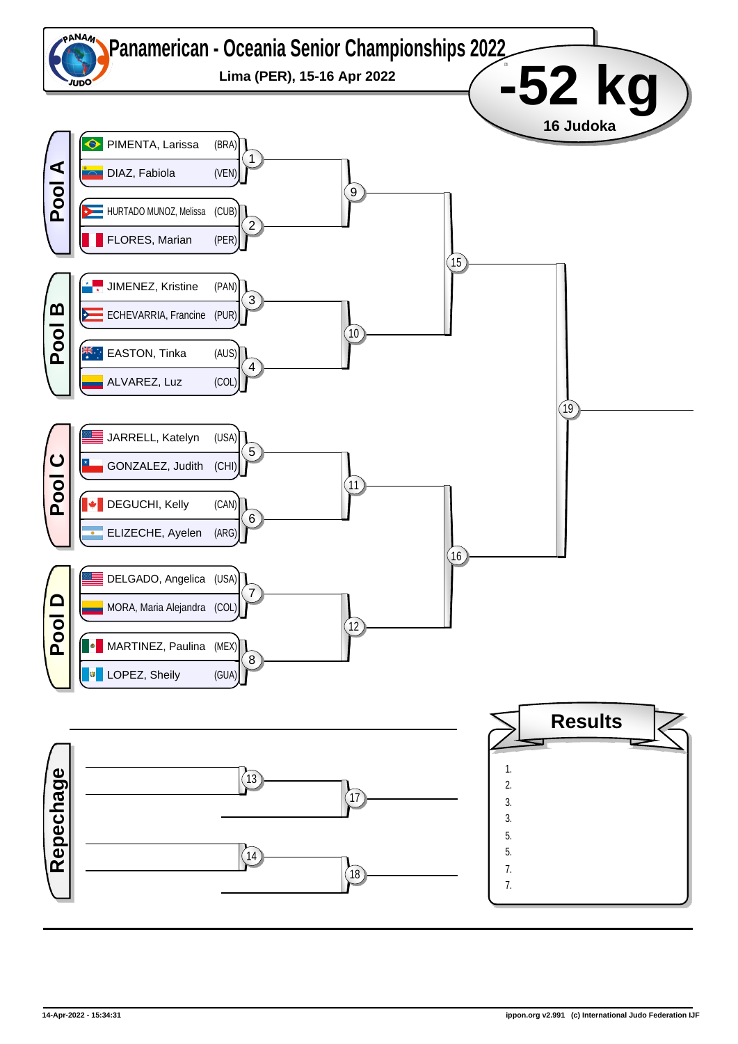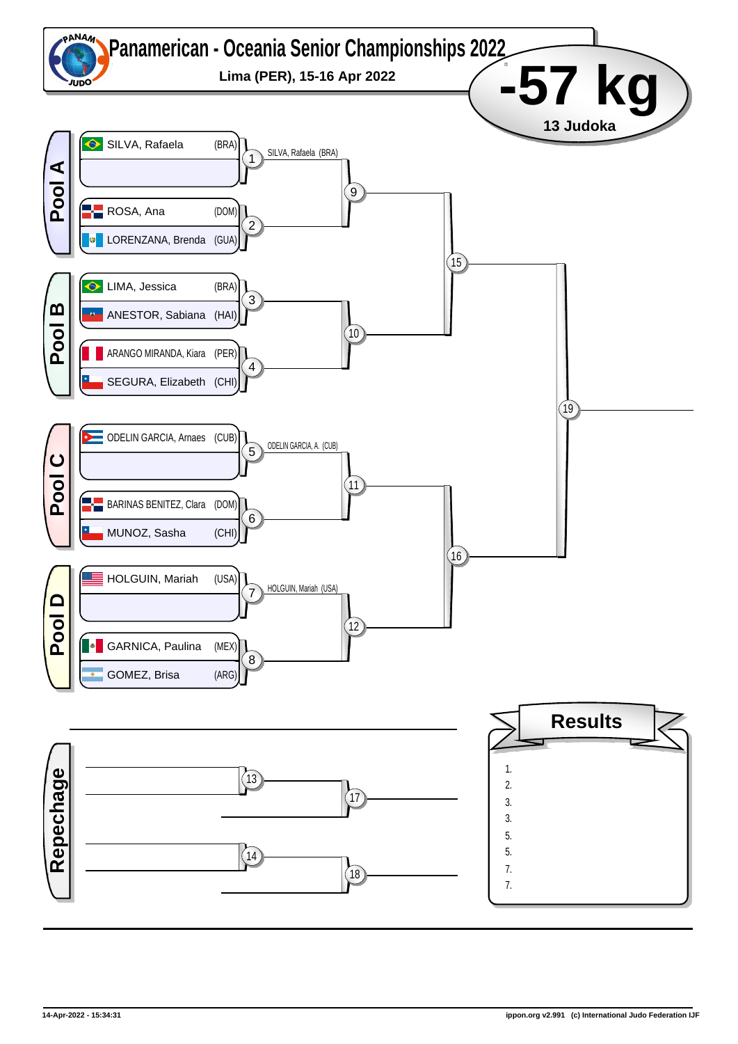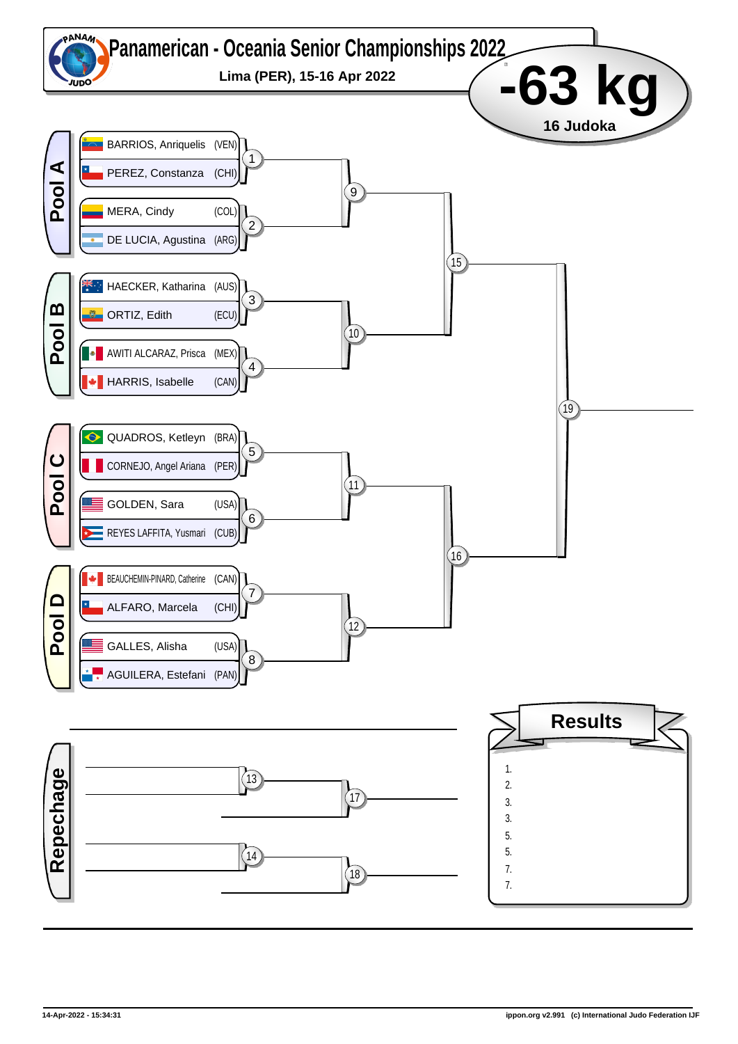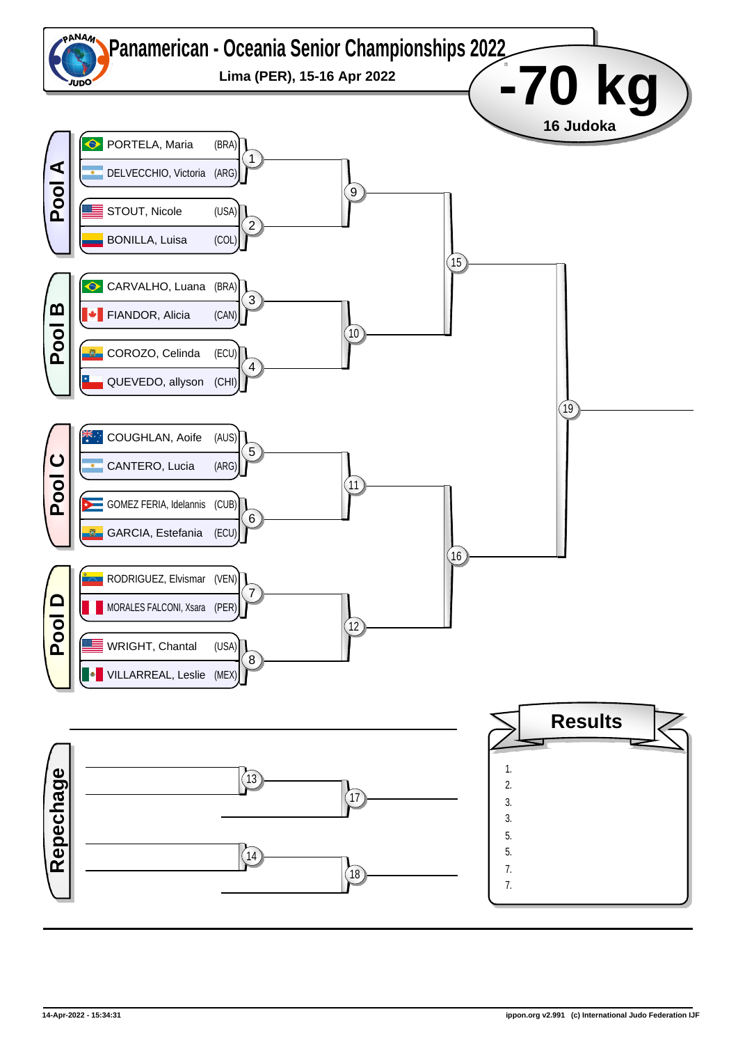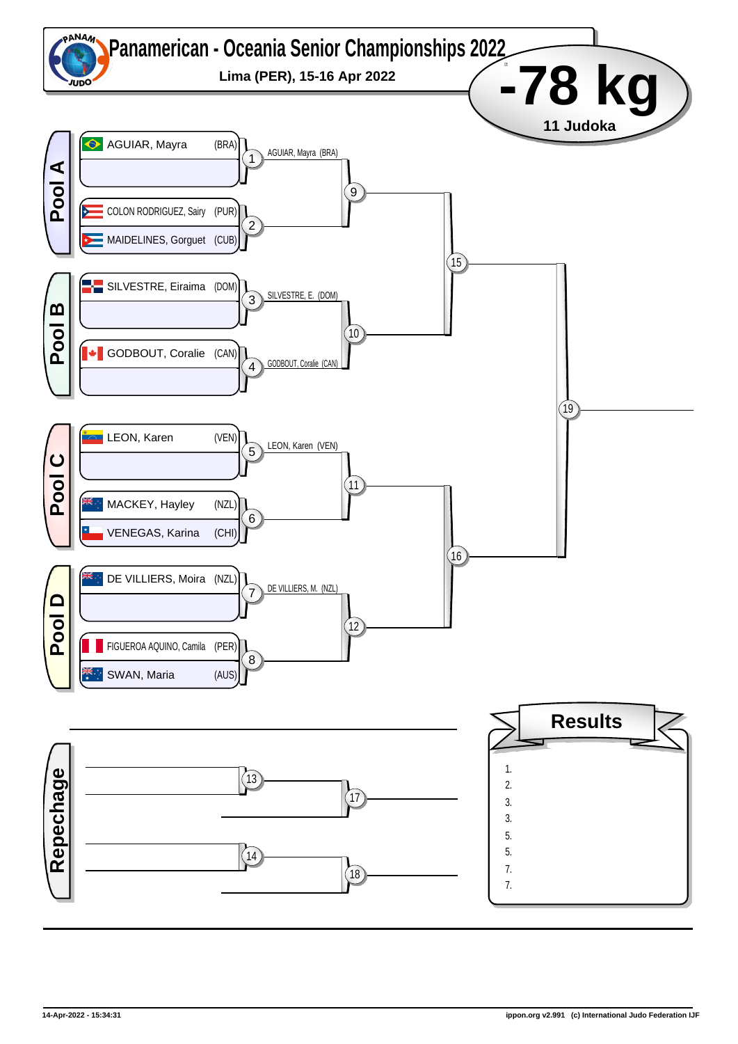